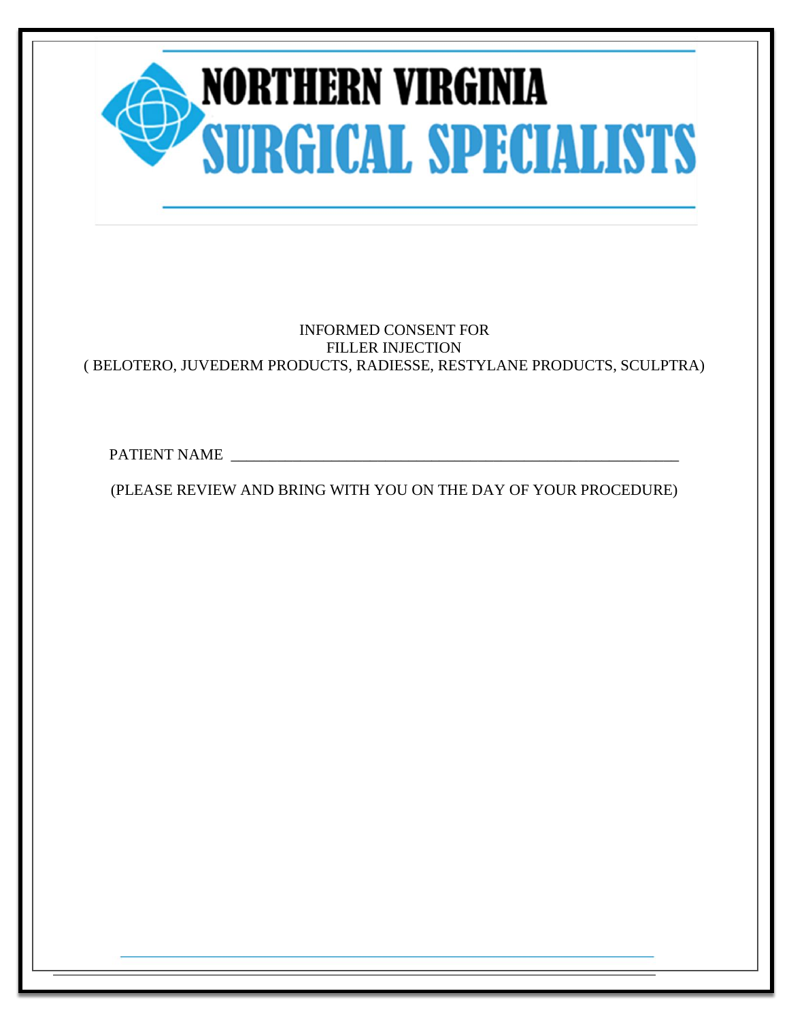| <b>NORTHERN VIRGINIA<br/>SURGICAL SPECIALISTS</b>                                                                               |
|---------------------------------------------------------------------------------------------------------------------------------|
| <b>INFORMED CONSENT FOR</b><br><b>FILLER INJECTION</b><br>(BELOTERO, JUVEDERM PRODUCTS, RADIESSE, RESTYLANE PRODUCTS, SCULPTRA) |
| PATIENT NAME                                                                                                                    |
| (PLEASE REVIEW AND BRING WITH YOU ON THE DAY OF YOUR PROCEDURE)                                                                 |
|                                                                                                                                 |

Page 1 of 5 Patient Initials\_\_\_\_\_\_\_\_\_\_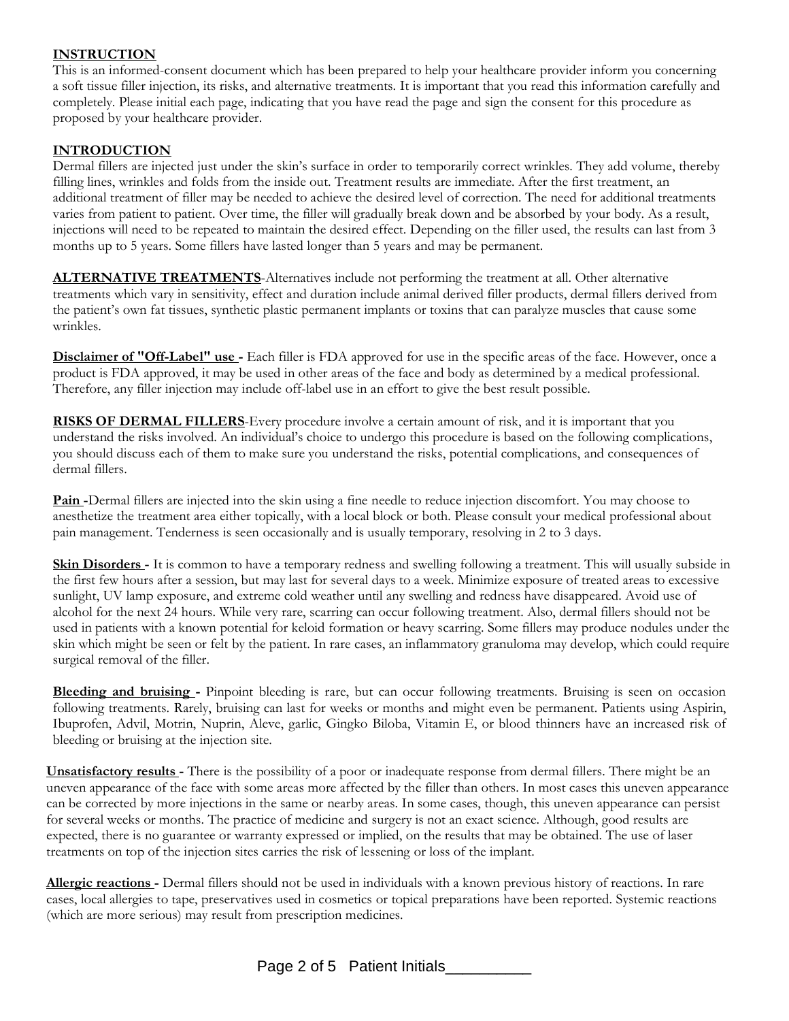# **INSTRUCTION**

This is an informed-consent document which has been prepared to help your healthcare provider inform you concerning a soft tissue filler injection, its risks, and alternative treatments. It is important that you read this information carefully and completely. Please initial each page, indicating that you have read the page and sign the consent for this procedure as proposed by your healthcare provider.

# **INTRODUCTION**

Dermal fillers are injected just under the skin's surface in order to temporarily correct wrinkles. They add volume, thereby filling lines, wrinkles and folds from the inside out. Treatment results are immediate. After the first treatment, an additional treatment of filler may be needed to achieve the desired level of correction. The need for additional treatments varies from patient to patient. Over time, the filler will gradually break down and be absorbed by your body. As a result, injections will need to be repeated to maintain the desired effect. Depending on the filler used, the results can last from 3 months up to 5 years. Some fillers have lasted longer than 5 years and may be permanent.

**ALTERNATIVE TREATMENTS**-Alternatives include not performing the treatment at all. Other alternative treatments which vary in sensitivity, effect and duration include animal derived filler products, dermal fillers derived from the patient's own fat tissues, synthetic plastic permanent implants or toxins that can paralyze muscles that cause some wrinkles.

**Disclaimer of "Off-Label" use -** Each filler is FDA approved for use in the specific areas of the face. However, once a product is FDA approved, it may be used in other areas of the face and body as determined by a medical professional. Therefore, any filler injection may include off-label use in an effort to give the best result possible.

**RISKS OF DERMAL FILLERS**-Every procedure involve a certain amount of risk, and it is important that you understand the risks involved. An individual's choice to undergo this procedure is based on the following complications, you should discuss each of them to make sure you understand the risks, potential complications, and consequences of dermal fillers.

**Pain -**Dermal fillers are injected into the skin using a fine needle to reduce injection discomfort. You may choose to anesthetize the treatment area either topically, with a local block or both. Please consult your medical professional about pain management. Tenderness is seen occasionally and is usually temporary, resolving in 2 to 3 days.

**Skin Disorders -** It is common to have a temporary redness and swelling following a treatment. This will usually subside in the first few hours after a session, but may last for several days to a week. Minimize exposure of treated areas to excessive sunlight, UV lamp exposure, and extreme cold weather until any swelling and redness have disappeared. Avoid use of alcohol for the next 24 hours. While very rare, scarring can occur following treatment. Also, dermal fillers should not be used in patients with a known potential for keloid formation or heavy scarring. Some fillers may produce nodules under the skin which might be seen or felt by the patient. In rare cases, an inflammatory granuloma may develop, which could require surgical removal of the filler.

**Bleeding and bruising -** Pinpoint bleeding is rare, but can occur following treatments. Bruising is seen on occasion following treatments. Rarely, bruising can last for weeks or months and might even be permanent. Patients using Aspirin, Ibuprofen, Advil, Motrin, Nuprin, Aleve, garlic, Gingko Biloba, Vitamin E, or blood thinners have an increased risk of bleeding or bruising at the injection site.

**Unsatisfactory results -** There is the possibility of a poor or inadequate response from dermal fillers. There might be an uneven appearance of the face with some areas more affected by the filler than others. In most cases this uneven appearance can be corrected by more injections in the same or nearby areas. In some cases, though, this uneven appearance can persist for several weeks or months. The practice of medicine and surgery is not an exact science. Although, good results are expected, there is no guarantee or warranty expressed or implied, on the results that may be obtained. The use of laser treatments on top of the injection sites carries the risk of lessening or loss of the implant.

**Allergic reactions -** Dermal fillers should not be used in individuals with a known previous history of reactions. In rare cases, local allergies to tape, preservatives used in cosmetics or topical preparations have been reported. Systemic reactions (which are more serious) may result from prescription medicines.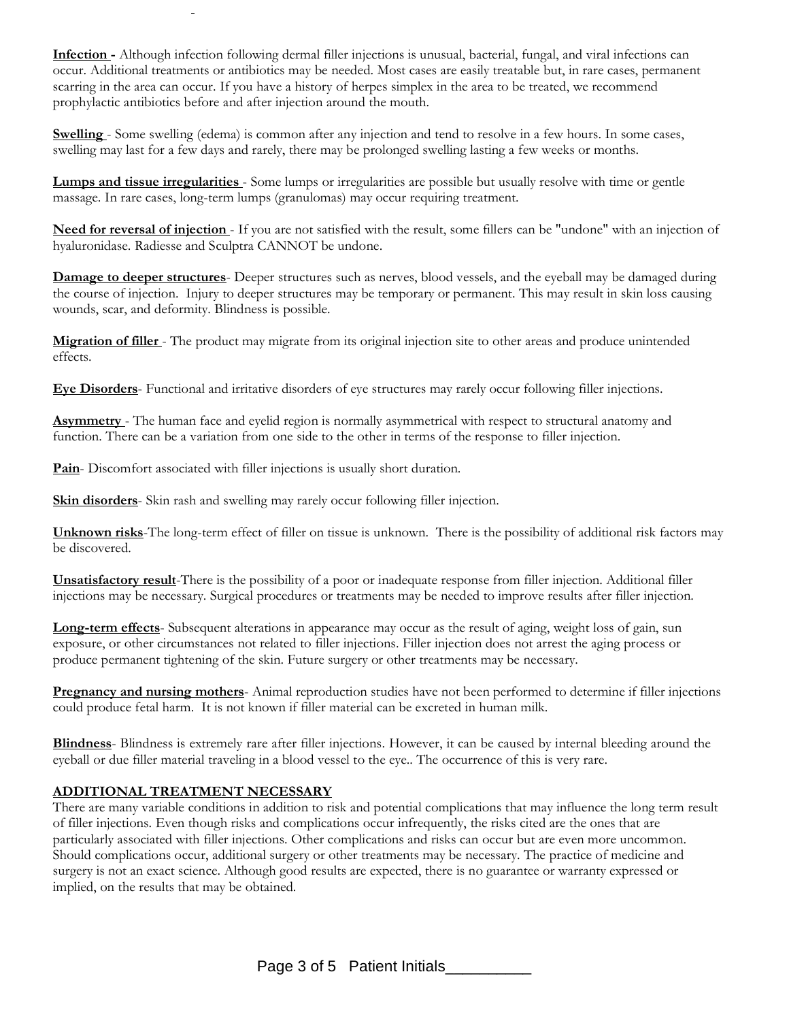**Infection -** Although infection following dermal filler injections is unusual, bacterial, fungal, and viral infections can occur. Additional treatments or antibiotics may be needed. Most cases are easily treatable but, in rare cases, permanent scarring in the area can occur. If you have a history of herpes simplex in the area to be treated, we recommend prophylactic antibiotics before and after injection around the mouth.

**Swelling** - Some swelling (edema) is common after any injection and tend to resolve in a few hours. In some cases, swelling may last for a few days and rarely, there may be prolonged swelling lasting a few weeks or months.

**Lumps and tissue irregularities** - Some lumps or irregularities are possible but usually resolve with time or gentle massage. In rare cases, long-term lumps (granulomas) may occur requiring treatment.

**Need for reversal of injection** - If you are not satisfied with the result, some fillers can be "undone" with an injection of hyaluronidase. Radiesse and Sculptra CANNOT be undone.

**Damage to deeper structures**- Deeper structures such as nerves, blood vessels, and the eyeball may be damaged during the course of injection. Injury to deeper structures may be temporary or permanent. This may result in skin loss causing wounds, scar, and deformity. Blindness is possible.

**Migration of filler** - The product may migrate from its original injection site to other areas and produce unintended effects.

**Eye Disorders**- Functional and irritative disorders of eye structures may rarely occur following filler injections.

**Asymmetry** - The human face and eyelid region is normally asymmetrical with respect to structural anatomy and function. There can be a variation from one side to the other in terms of the response to filler injection.

**Pain**- Discomfort associated with filler injections is usually short duration.

**Skin disorders**- Skin rash and swelling may rarely occur following filler injection.

**Unknown risks**-The long-term effect of filler on tissue is unknown. There is the possibility of additional risk factors may be discovered.

**Unsatisfactory result**-There is the possibility of a poor or inadequate response from filler injection. Additional filler injections may be necessary. Surgical procedures or treatments may be needed to improve results after filler injection.

**Long-term effects**- Subsequent alterations in appearance may occur as the result of aging, weight loss of gain, sun exposure, or other circumstances not related to filler injections. Filler injection does not arrest the aging process or produce permanent tightening of the skin. Future surgery or other treatments may be necessary.

**Pregnancy and nursing mothers**- Animal reproduction studies have not been performed to determine if filler injections could produce fetal harm. It is not known if filler material can be excreted in human milk.

**Blindness**- Blindness is extremely rare after filler injections. However, it can be caused by internal bleeding around the eyeball or due filler material traveling in a blood vessel to the eye.. The occurrence of this is very rare.

### **ADDITIONAL TREATMENT NECESSARY**

There are many variable conditions in addition to risk and potential complications that may influence the long term result of filler injections. Even though risks and complications occur infrequently, the risks cited are the ones that are particularly associated with filler injections. Other complications and risks can occur but are even more uncommon. Should complications occur, additional surgery or other treatments may be necessary. The practice of medicine and surgery is not an exact science. Although good results are expected, there is no guarantee or warranty expressed or implied, on the results that may be obtained.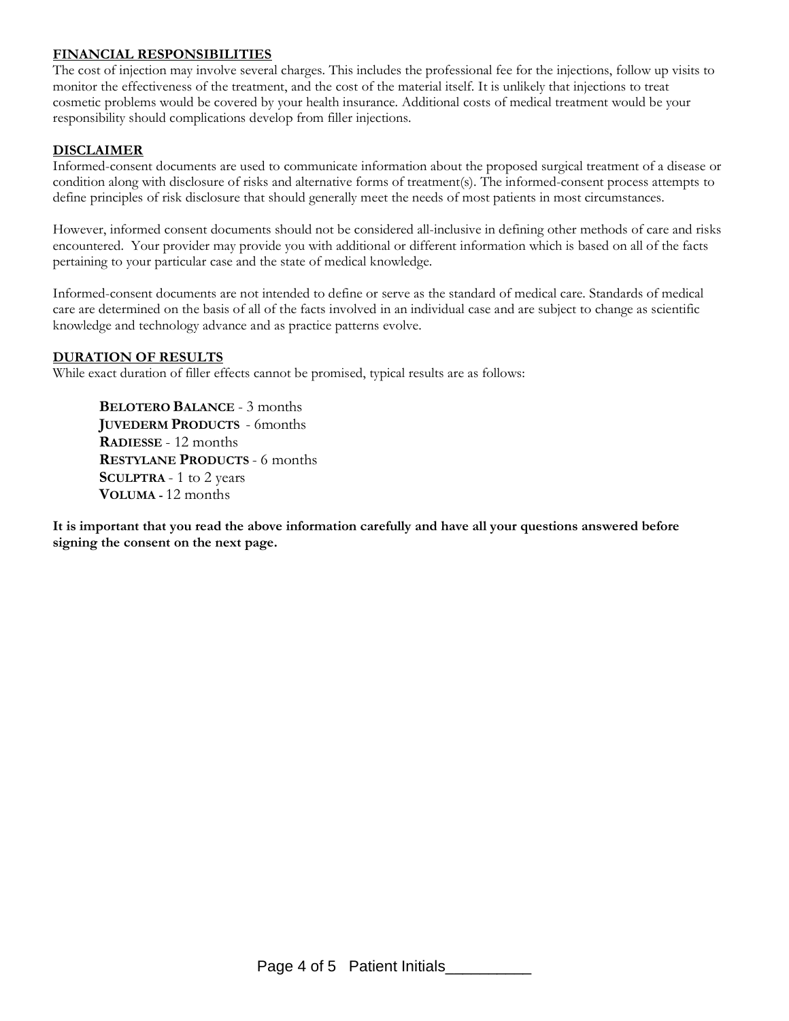# **FINANCIAL RESPONSIBILITIES**

The cost of injection may involve several charges. This includes the professional fee for the injections, follow up visits to monitor the effectiveness of the treatment, and the cost of the material itself. It is unlikely that injections to treat cosmetic problems would be covered by your health insurance. Additional costs of medical treatment would be your responsibility should complications develop from filler injections.

# **DISCLAIMER**

Informed-consent documents are used to communicate information about the proposed surgical treatment of a disease or condition along with disclosure of risks and alternative forms of treatment(s). The informed-consent process attempts to define principles of risk disclosure that should generally meet the needs of most patients in most circumstances.

However, informed consent documents should not be considered all-inclusive in defining other methods of care and risks encountered. Your provider may provide you with additional or different information which is based on all of the facts pertaining to your particular case and the state of medical knowledge.

Informed-consent documents are not intended to define or serve as the standard of medical care. Standards of medical care are determined on the basis of all of the facts involved in an individual case and are subject to change as scientific knowledge and technology advance and as practice patterns evolve.

### **DURATION OF RESULTS**

While exact duration of filler effects cannot be promised, typical results are as follows:

**BELOTERO BALANCE** - 3 months **JUVEDERM PRODUCTS** - 6months **RADIESSE** - 12 months **RESTYLANE PRODUCTS** - 6 months **SCULPTRA** - 1 to 2 years **VOLUMA -** 12 months

**It is important that you read the above information carefully and have all your questions answered before signing the consent on the next page.**